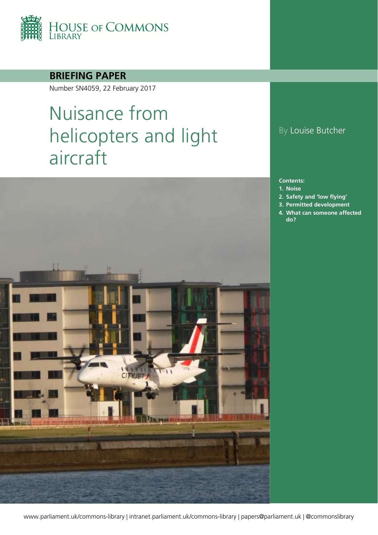

### **BRIEFING PAPER**

Number SN4059, 22 February 2017

# Nuisance from helicopters and light aircraft



### By Louise Butcher

#### **Contents:**

- **1. [Noise](#page-3-0)**
- **2. [Safety and 'low flying'](#page-5-0)**
- **3. [Permitted development](#page-7-0)**
- **4. [What can someone affected](#page-8-0)  [do?](#page-8-0)**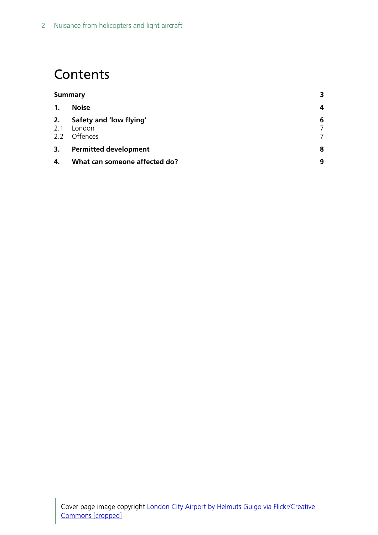## **Contents**

| <b>Summary</b>             |                                               | 3 |
|----------------------------|-----------------------------------------------|---|
| $\mathbf{1}$ .             | <b>Noise</b>                                  | 4 |
| 2.<br>2.1<br>$2.2^{\circ}$ | Safety and 'low flying'<br>London<br>Offences | 6 |
| 3.                         | <b>Permitted development</b>                  | 8 |
| 4.                         | What can someone affected do?                 | 9 |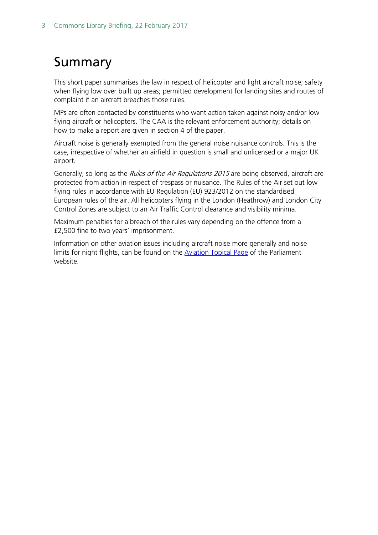## <span id="page-2-0"></span>Summary

This short paper summarises the law in respect of helicopter and light aircraft noise; safety when flying low over built up areas; permitted development for landing sites and routes of complaint if an aircraft breaches those rules.

MPs are often contacted by constituents who want action taken against noisy and/or low flying aircraft or helicopters. The CAA is the relevant enforcement authority; details on how to make a report are given in section 4 of the paper.

Aircraft noise is generally exempted from the general noise nuisance controls. This is the case, irrespective of whether an airfield in question is small and unlicensed or a major UK airport.

Generally, so long as the Rules of the Air Regulations 2015 are being observed, aircraft are protected from action in respect of trespass or nuisance. The Rules of the Air set out low flying rules in accordance with EU Regulation (EU) 923/2012 on the standardised European rules of the air. All helicopters flying in the London (Heathrow) and London City Control Zones are subject to an Air Traffic Control clearance and visibility minima.

Maximum penalties for a breach of the rules vary depending on the offence from a £2,500 fine to two years' imprisonment.

Information on other aviation issues including aircraft noise more generally and noise limits for night flights, can be found on the **Aviation Topical Page of the Parliament** website.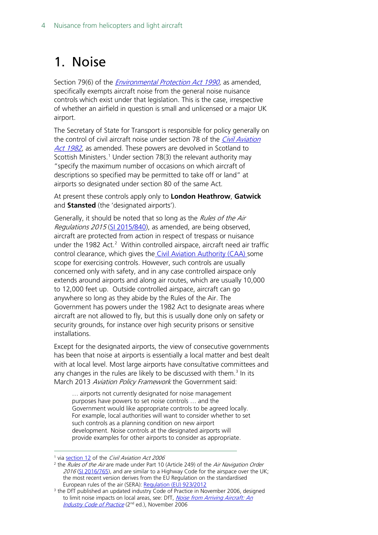## <span id="page-3-0"></span>1. Noise

Section 79(6) of the *[Environmental Protection Act 1990](http://www.legislation.gov.uk/ukpga/1990/43/contents)*, as amended, specifically exempts aircraft noise from the general noise nuisance controls which exist under that legislation. This is the case, irrespective of whether an airfield in question is small and unlicensed or a major UK airport.

The Secretary of State for Transport is responsible for policy generally on the control of civil aircraft noise under section 78 of the *Civil Aviation* [Act 1982](http://www.legislation.gov.uk/ukpga/1982/16/contents), as amended. These powers are devolved in Scotland to Scottish Ministers.<sup>[1](#page-3-1)</sup> Under section 78(3) the relevant authority may "specify the maximum number of occasions on which aircraft of descriptions so specified may be permitted to take off or land" at airports so designated under section 80 of the same Act.

At present these controls apply only to **London Heathrow**, **Gatwick** and **Stansted** (the 'designated airports').

Generally, it should be noted that so long as the Rules of the Air Regulations 2015 [\(SI 2015/840\)](http://www.legislation.gov.uk/uksi/2015/840/contents/made), as amended, are being observed, aircraft are protected from action in respect of trespass or nuisance under the 198[2](#page-3-2) Act.<sup>2</sup> Within controlled airspace, aircraft need air traffic control clearance, which gives the [Civil Aviation Authority \(CAA\) s](https://www.caa.co.uk/home/)ome scope for exercising controls. However, such controls are usually concerned only with safety, and in any case controlled airspace only extends around airports and along air routes, which are usually 10,000 to 12,000 feet up. Outside controlled airspace, aircraft can go anywhere so long as they abide by the Rules of the Air. The Government has powers under the 1982 Act to designate areas where aircraft are not allowed to fly, but this is usually done only on safety or security grounds, for instance over high security prisons or sensitive installations.

Except for the designated airports, the view of consecutive governments has been that noise at airports is essentially a local matter and best dealt with at local level. Most large airports have consultative committees and any changes in the rules are likely to be discussed with them.<sup>[3](#page-3-3)</sup> In its March 2013 Aviation Policy Framework the Government said:

… airports not currently designated for noise management purposes have powers to set noise controls … and the Government would like appropriate controls to be agreed locally. For example, local authorities will want to consider whether to set such controls as a planning condition on new airport development. Noise controls at the designated airports will provide examples for other airports to consider as appropriate.

<span id="page-3-1"></span><sup>&</sup>lt;sup>1</sup> vi[a section 12](http://www.legislation.gov.uk/ukpga/2006/34/section/12) of the Civil Aviation Act 2006

<span id="page-3-2"></span><sup>&</sup>lt;sup>2</sup> the Rules of the Air are made under Part 10 (Article 249) of the Air Navigation Order 2016 [\(SI 2016/765\)](http://www.legislation.gov.uk/uksi/2016/765/contents/made), and are similar to a Highway Code for the airspace over the UK; the most recent version derives from the EU Regulation on the standardised European rules of the air (SERA): [Regulation \(EU\) 923/2012](https://www.caa.co.uk/WorkArea/DownloadAsset.aspx?id=4294975756)

<span id="page-3-3"></span><sup>&</sup>lt;sup>3</sup> the DfT published an updated industry Code of Practice in November 2006, designed to limit noise impacts on local areas, see: DfT, Noise from Arriving Aircraft: An [Industry Code of Practice](http://webarchive.nationalarchives.gov.uk/20070129123141/http:/www.dft.gov.uk/pgr/aviation/environmentalissues/arrivalscodeofpractice/noisefromarrivingaircraft) (2nd ed.), November 2006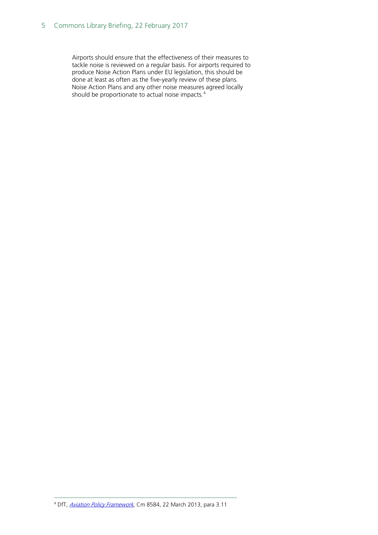#### 5 Commons Library Briefing, 22 February 2017

<span id="page-4-0"></span>Airports should ensure that the effectiveness of their measures to tackle noise is reviewed on a regular basis. For airports required to produce Noise Action Plans under EU legislation, this should be done at least as often as the five-yearly review of these plans. Noise Action Plans and any other noise measures agreed locally should be proportionate to actual noise impacts.<sup>[4](#page-4-0)</sup>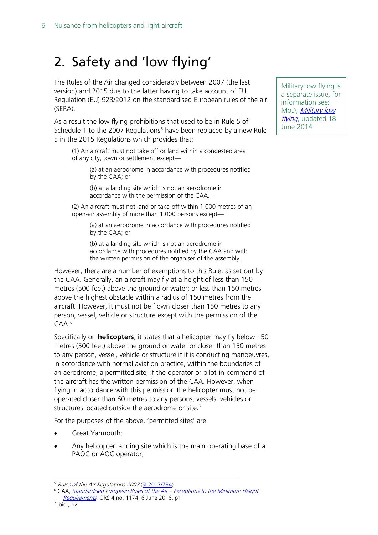## <span id="page-5-0"></span>2. Safety and 'low flying'

The Rules of the Air changed considerably between 2007 (the last version) and 2015 due to the latter having to take account of EU Regulation (EU) 923/2012 on the standardised European rules of the air (SERA).

As a result the low flying prohibitions that used to be in Rule 5 of Schedule 1 to the 2007 Regulations<sup>[5](#page-5-1)</sup> have been replaced by a new Rule 5 in the 2015 Regulations which provides that:

(1) An aircraft must not take off or land within a congested area of any city, town or settlement except—

> (a) at an aerodrome in accordance with procedures notified by the CAA; or

(b) at a landing site which is not an aerodrome in accordance with the permission of the CAA.

(2) An aircraft must not land or take-off within 1,000 metres of an open-air assembly of more than 1,000 persons except—

(a) at an aerodrome in accordance with procedures notified by the CAA; or

(b) at a landing site which is not an aerodrome in accordance with procedures notified by the CAA and with the written permission of the organiser of the assembly.

However, there are a number of exemptions to this Rule, as set out by the CAA. Generally, an aircraft may fly at a height of less than 150 metres (500 feet) above the ground or water; or less than 150 metres above the highest obstacle within a radius of 150 metres from the aircraft. However, it must not be flown closer than 150 metres to any person, vessel, vehicle or structure except with the permission of the CAA.[6](#page-5-2)

Specifically on **helicopters**, it states that a helicopter may fly below 150 metres (500 feet) above the ground or water or closer than 150 metres to any person, vessel, vehicle or structure if it is conducting manoeuvres, in accordance with normal aviation practice, within the boundaries of an aerodrome, a permitted site, if the operator or pilot-in-command of the aircraft has the written permission of the CAA. However, when flying in accordance with this permission the helicopter must not be operated closer than 60 metres to any persons, vessels, vehicles or structures located outside the aerodrome or site.<sup>[7](#page-5-3)</sup>

For the purposes of the above, 'permitted sites' are:

- Great Yarmouth;
- Any helicopter landing site which is the main operating base of a PAOC or AOC operator;

<span id="page-5-3"></span><sup>7</sup> ibid., p2

Military low flying is a separate issue, for information see: MoD, [Military low](https://www.gov.uk/guidance/military-low-flying)  [flying](https://www.gov.uk/guidance/military-low-flying), updated 18 June 2014

<span id="page-5-1"></span> <sup>5</sup> Rules of the Air Regulations 2007 [\(SI 2007/734\)](http://www.legislation.gov.uk/uksi/2007/734/contents/made)

<span id="page-5-2"></span><sup>&</sup>lt;sup>6</sup> CAA, *[Standardised European Rules of the Air –](http://publicapps.caa.co.uk/docs/33/1174.pdf) Exceptions to the Minimum Height* [Requirements](http://publicapps.caa.co.uk/docs/33/1174.pdf), ORS 4 no. 1174, 6 June 2016, p1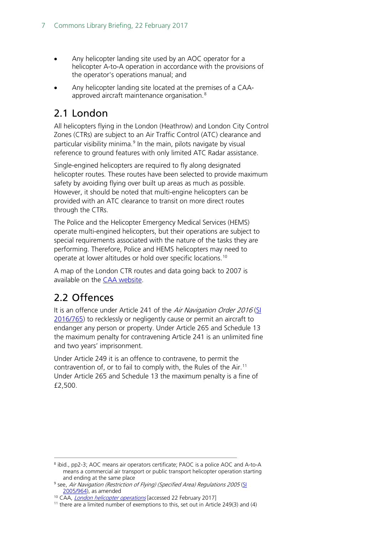- Any helicopter landing site used by an AOC operator for a helicopter A-to-A operation in accordance with the provisions of the operator's operations manual; and
- Any helicopter landing site located at the premises of a CAA-approved aircraft maintenance organisation.<sup>[8](#page-6-2)</sup>

### <span id="page-6-0"></span>2.1 London

All helicopters flying in the London (Heathrow) and London City Control Zones (CTRs) are subject to an Air Traffic Control (ATC) clearance and particular visibility minima.<sup>[9](#page-6-3)</sup> In the main, pilots navigate by visual reference to ground features with only limited ATC Radar assistance.

Single-engined helicopters are required to fly along designated helicopter routes. These routes have been selected to provide maximum safety by avoiding flying over built up areas as much as possible. However, it should be noted that multi-engine helicopters can be provided with an ATC clearance to transit on more direct routes through the CTRs.

The Police and the Helicopter Emergency Medical Services (HEMS) operate multi-engined helicopters, but their operations are subject to special requirements associated with the nature of the tasks they are performing. Therefore, Police and HEMS helicopters may need to operate at lower altitudes or hold over specific locations.[10](#page-6-4)

A map of the London CTR routes and data going back to 2007 is available on the [CAA website.](https://www.caa.co.uk/Data-and-analysis/Airspace-and-environment/Airspace/London-helicopter-operations/)

### <span id="page-6-1"></span>2.2 Offences

It is an offence under Article 241 of the Air Navigation Order 2016 (SI [2016/765\)](http://www.legislation.gov.uk/uksi/2016/765/contents/made) to recklessly or negligently cause or permit an aircraft to endanger any person or property. Under Article 265 and Schedule 13 the maximum penalty for contravening Article 241 is an unlimited fine and two years' imprisonment.

Under Article 249 it is an offence to contravene, to permit the contravention of, or to fail to comply with, the Rules of the Air.<sup>[11](#page-6-5)</sup> Under Article 265 and Schedule 13 the maximum penalty is a fine of £2,500.

<span id="page-6-2"></span> <sup>8</sup> ibid., pp2-3; AOC means air operators certificate; PAOC is a police AOC and A-to-A means a commercial air transport or public transport helicopter operation starting and ending at the same place

<span id="page-6-3"></span><sup>&</sup>lt;sup>9</sup> see, Air Navigation (Restriction of Flying) (Specified Area) Regulations 2005 (SL [2005/964\)](http://www.legislation.gov.uk/uksi/2005/964/contents/made), as amended

<span id="page-6-4"></span><sup>&</sup>lt;sup>10</sup> CAA, *[London helicopter operations](https://www.caa.co.uk/Data-and-analysis/Airspace-and-environment/Airspace/London-helicopter-operations/)* [accessed 22 February 2017]

<span id="page-6-5"></span> $11$  there are a limited number of exemptions to this, set out in Article 249(3) and (4)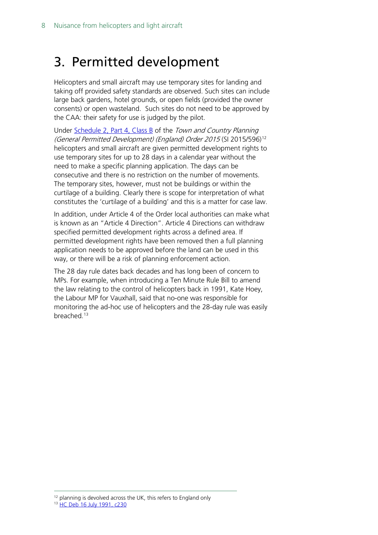## <span id="page-7-0"></span>3. Permitted development

Helicopters and small aircraft may use temporary sites for landing and taking off provided safety standards are observed. Such sites can include large back gardens, hotel grounds, or open fields (provided the owner consents) or open wasteland. Such sites do not need to be approved by the CAA: their safety for use is judged by the pilot.

Under [Schedule 2, Part 4, Class B](http://www.legislation.gov.uk/uksi/2015/596/schedule/2/part/4/crossheading/class-b-temporary-use-of-land/made) of the Town and Country Planning (General Permitted Development) (England) Order 2015 (SI 2015/596)[12](#page-7-1) helicopters and small aircraft are given permitted development rights to use temporary sites for up to 28 days in a calendar year without the need to make a specific planning application. The days can be consecutive and there is no restriction on the number of movements. The temporary sites, however, must not be buildings or within the curtilage of a building. Clearly there is scope for interpretation of what constitutes the 'curtilage of a building' and this is a matter for case law.

In addition, under Article 4 of the Order local authorities can make what is known as an "Article 4 Direction". Article 4 Directions can withdraw specified permitted development rights across a defined area. If permitted development rights have been removed then a full planning application needs to be approved before the land can be used in this way, or there will be a risk of planning enforcement action.

The 28 day rule dates back decades and has long been of concern to MPs. For example, when introducing a Ten Minute Rule Bill to amend the law relating to the control of helicopters back in 1991, Kate Hoey, the Labour MP for Vauxhall, said that no-one was responsible for monitoring the ad-hoc use of helicopters and the 28-day rule was easily breached.<sup>[13](#page-7-2)</sup>

<sup>12</sup> planning is devolved across the UK, this refers to England only

<span id="page-7-2"></span><span id="page-7-1"></span>13 [HC Deb 16 July 1991, c230](http://hansard.millbanksystems.com/commons/1991/jul/16/helicopters-and-heliports)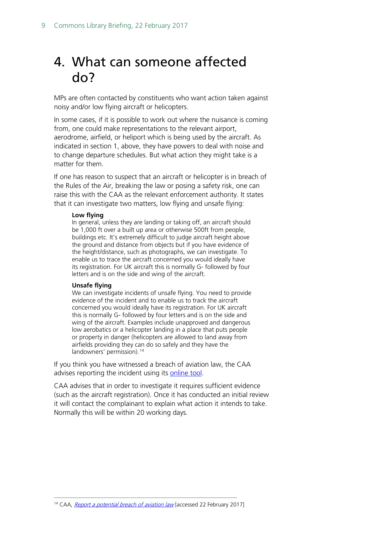## <span id="page-8-0"></span>4. What can someone affected do?

MPs are often contacted by constituents who want action taken against noisy and/or low flying aircraft or helicopters.

In some cases, if it is possible to work out where the nuisance is coming from, one could make representations to the relevant airport, aerodrome, airfield, or heliport which is being used by the aircraft. As indicated in section 1, above, they have powers to deal with noise and to change departure schedules. But what action they might take is a matter for them.

If one has reason to suspect that an aircraft or helicopter is in breach of the Rules of the Air, breaking the law or posing a safety risk, one can raise this with the CAA as the relevant enforcement authority. It states that it can investigate two matters, low flying and unsafe flying:

#### **Low flying**

In general, unless they are landing or taking off, an aircraft should be 1,000 ft over a built up area or otherwise 500ft from people, buildings etc. It's extremely difficult to judge aircraft height above the ground and distance from objects but if you have evidence of the height/distance, such as photographs, we can investigate. To enable us to trace the aircraft concerned you would ideally have its registration. For UK aircraft this is normally G- followed by four letters and is on the side and wing of the aircraft.

#### **Unsafe flying**

We can investigate incidents of unsafe flying. You need to provide evidence of the incident and to enable us to track the aircraft concerned you would ideally have its registration. For UK aircraft this is normally G- followed by four letters and is on the side and wing of the aircraft. Examples include unapproved and dangerous low aerobatics or a helicopter landing in a place that puts people or property in danger (helicopters are allowed to land away from airfields providing they can do so safely and they have the landowners' permission).<sup>[14](#page-8-1)</sup>

If you think you have witnessed a breach of aviation law, the CAA advises reporting the incident using its [online tool.](https://apply.caa.co.uk/CAAPortal/form.htm?formCode=ABL)

CAA advises that in order to investigate it requires sufficient evidence (such as the aircraft registration). Once it has conducted an initial review it will contact the complainant to explain what action it intends to take. Normally this will be within 20 working days.

<span id="page-8-1"></span><sup>&</sup>lt;sup>14</sup> CAA, [Report a potential breach of aviation law](https://www.caa.co.uk/Our-work/Make-a-report-or-complaint/Report-a-potential-breach-of-aviation-law/) [accessed 22 February 2017]